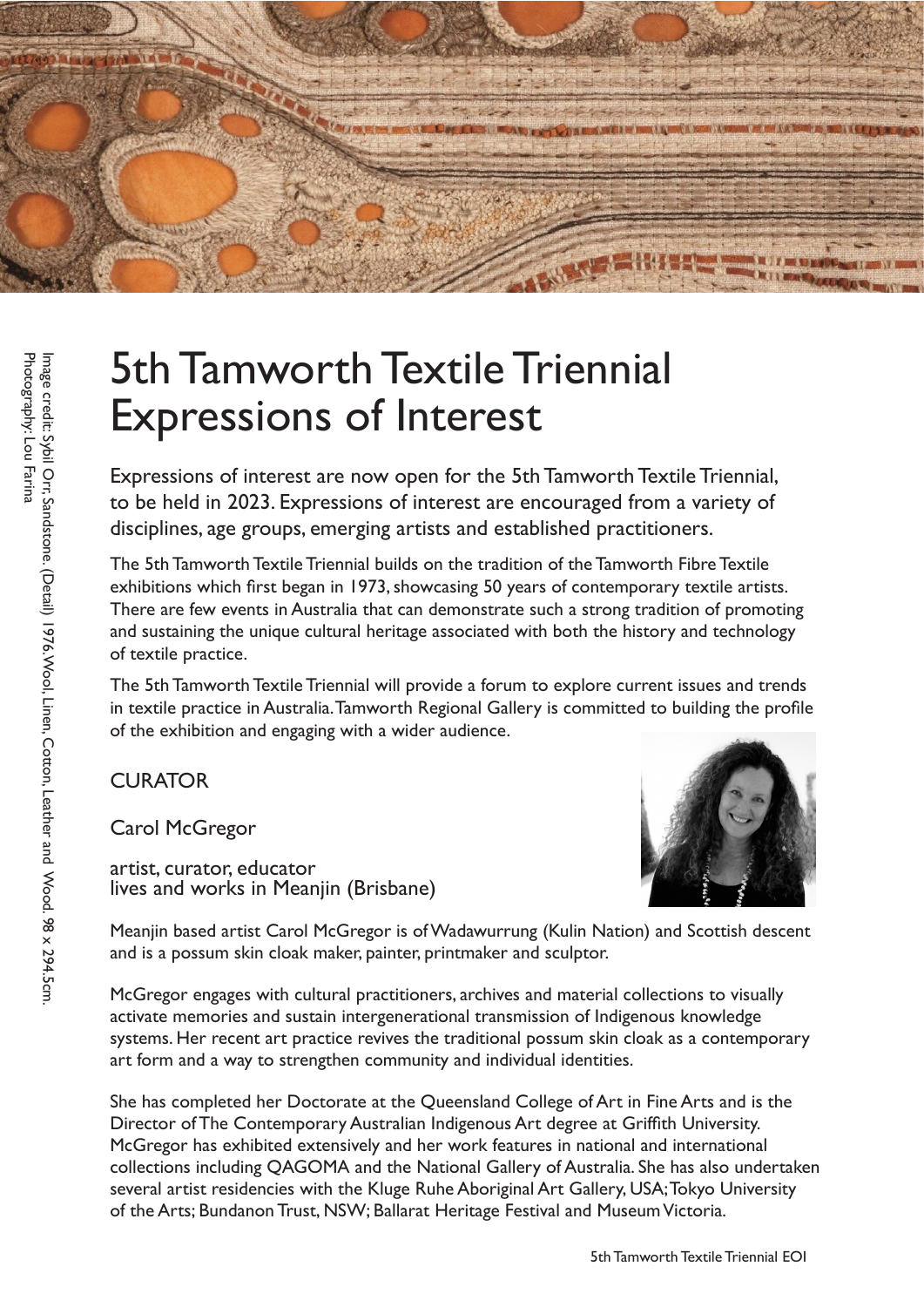

# 5th Tamworth Textile Triennial Expressions of Interest<br>Expressions of interest are now open for the 5th Tamworth Textile Triennial,

to be held in 2023. Expressions of interest are encouraged from a variety of disciplines, age groups, emerging artists and established practitioners.

The 5th Tamworth Textile Triennial builds on the tradition of the Tamworth Fibre Textile exhibitions which first began in 1973, showcasing 50 years of contemporary textile artists. There are few events in Australia that can demonstrate such a strong tradition of promoting and sustaining the unique cultural heritage associated with both the history and technology of textile practice.

The 5th Tamworth Textile Triennial will provide a forum to explore current issues and trends in textile practice in Australia. Tamworth Regional Gallery is committed to building the profile of the exhibition and engaging with a wider audience.

### **CURATOR**

Carol McGregor

artist, curator, educator lives and works in Meanjin (Brisbane)



Meanjin based artist Carol McGregor is of Wadawurrung (Kulin Nation) and Scottish descent and is a possum skin cloak maker, painter, printmaker and sculptor.

McGregor engages with cultural practitioners, archives and material collections to visually activate memories and sustain intergenerational transmission of Indigenous knowledge systems. Her recent art practice revives the traditional possum skin cloak as a contemporary art form and a way to strengthen community and individual identities.

She has completed her Doctorate at the Queensland College of Art in Fine Arts and is the Director of The Contemporary Australian Indigenous Art degree at Griffith University. McGregor has exhibited extensively and her work features in national and international collections including QAGOMA and the National Gallery of Australia. She has also undertaken several artist residencies with the Kluge Ruhe Aboriginal Art Gallery, USA; Tokyo University of the Arts; Bundanon Trust, NSW; Ballarat Heritage Festival and Museum Victoria.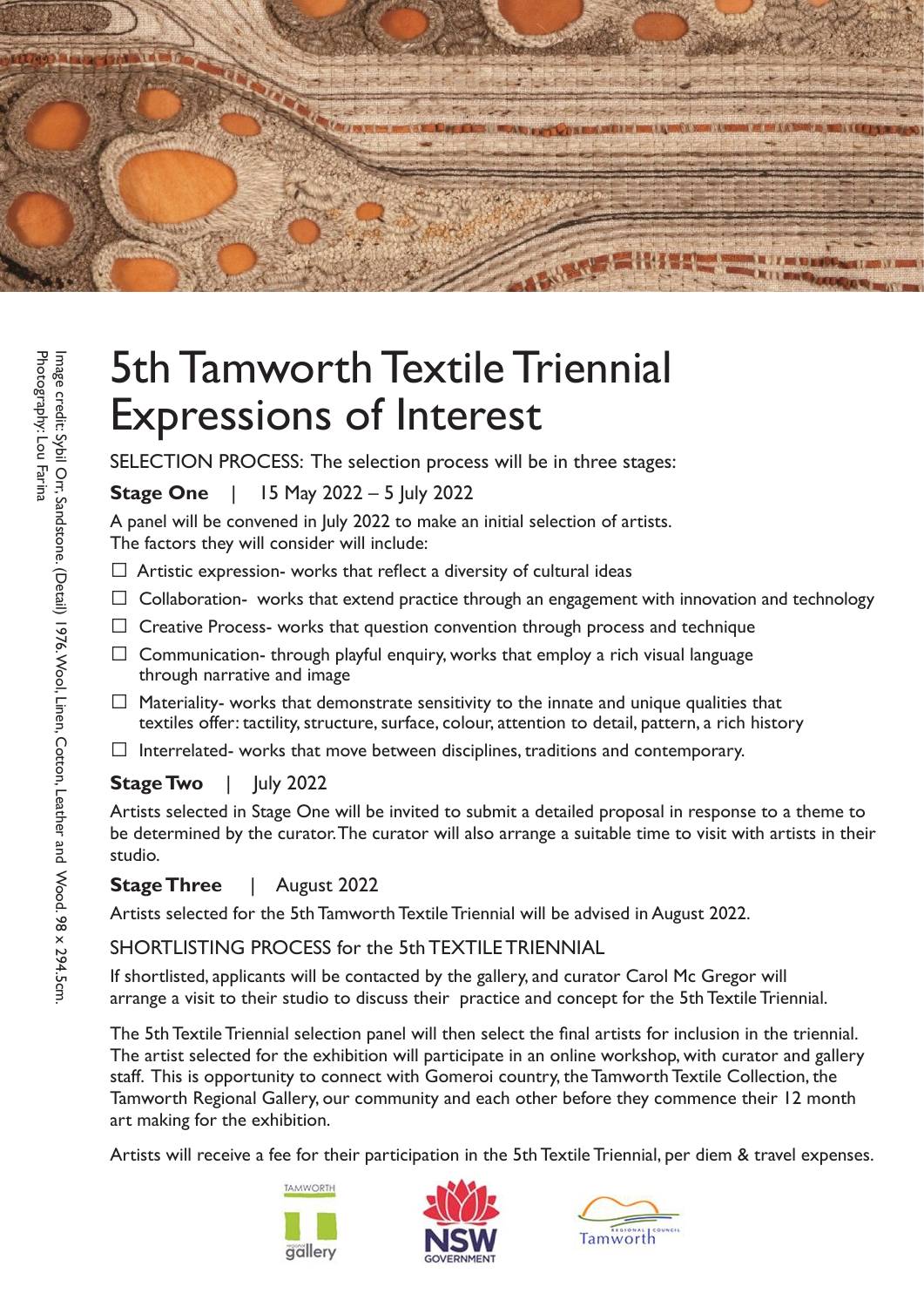

## 5th Tamworth Textile Triennial Expressions of Interest

SELECTION PROCESS: The selection process will be in three stages:

**Stage One** | 15 May 2022 – 5 July 2022

A panel will be convened in July 2022 to make an initial selection of artists. The factors they will consider will include:

- $\Box$  Artistic expression- works that reflect a diversity of cultural ideas
- $\Box$  Collaboration- works that extend practice through an engagement with innovation and technology
- $\Box$  Creative Process- works that question convention through process and technique
- $\Box$  Communication- through playful enquiry, works that employ a rich visual language through narrative and image
- $\Box$  Materiality- works that demonstrate sensitivity to the innate and unique qualities that textiles offer: tactility, structure, surface, colour, attention to detail, pattern, a rich history
- $\Box$  Interrelated- works that move between disciplines, traditions and contemporary.

### **Stage Two** | July 2022

Artists selected in Stage One will be invited to submit a detailed proposal in response to a theme to be determined by the curator. The curator will also arrange a suitable time to visit with artists in their studio.

### **Stage Three** | August 2022

Artists selected for the 5th Tamworth Textile Triennial will be advised in August 2022.

### SHORTLISTING PROCESS for the 5th TEXTILE TRIENNIAL

If shortlisted, applicants will be contacted by the gallery, and curator Carol Mc Gregor will arrange a visit to their studio to discuss their practice and concept for the 5th Textile Triennial.

The 5th Textile Triennial selection panel will then select the final artists for inclusion in the triennial. The artist selected for the exhibition will participate in an online workshop, with curator and gallery staff. This is opportunity to connect with Gomeroi country, the Tamworth Textile Collection, the Tamworth Regional Gallery, our community and each other before they commence their 12 month art making for the exhibition.

Artists will receive a fee for their participation in the 5th Textile Triennial, per diem & travel expenses.